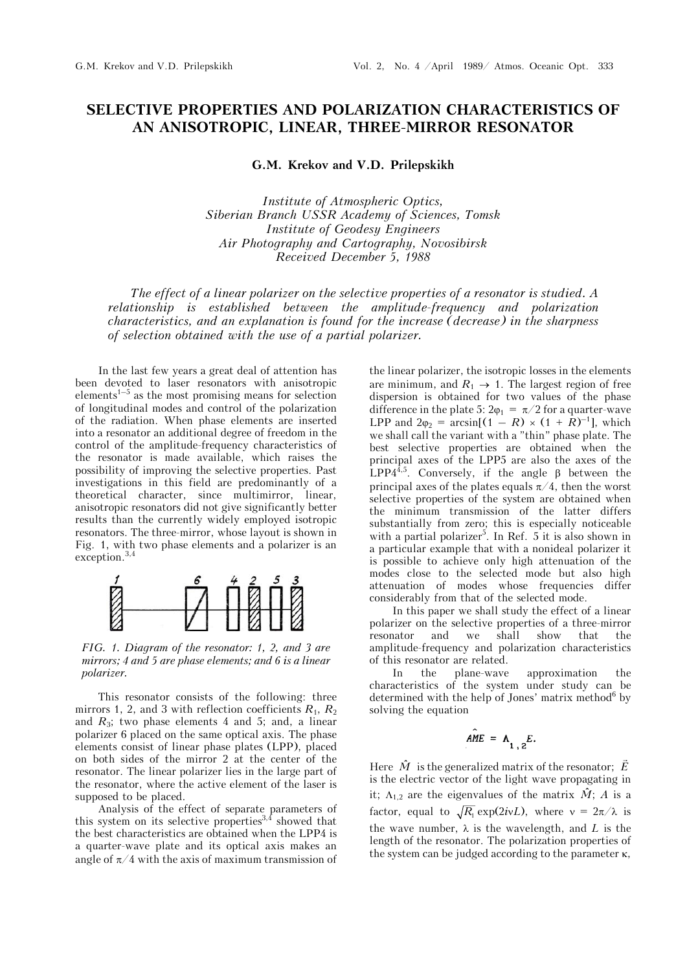## **SELECTIVE PROPERTIES AND POLARIZATION CHARACTERISTICS OF AN ANISOTROPIC, LINEAR, THREE-MIRROR RESONATOR**

**G.M. Krekov and V.D. Prilepskikh** 

*Institute of Atmospheric Optics, Siberian Branch USSR Academy of Sciences, Tomsk Institute of Geodesy Engineers Air Photography and Cartography, Novosibirsk Received December 5, 1988* 

*The effect of a linear polarizer on the selective properties of a resonator is studied. A relationship is established between the amplitude-frequency and polarization characteristics, and an explanation is found for the increase (decrease) in the sharpness of selection obtained with the use of a partial polarizer.*

In the last few years a great deal of attention has been devoted to laser resonators with anisotropic elements<sup> $1-5$ </sup> as the most promising means for selection of longitudinal modes and control of the polarization of the radiation. When phase elements are inserted into a resonator an additional degree of freedom in the control of the amplitude-frequency characteristics of the resonator is made available, which raises the possibility of improving the selective properties. Past investigations in this field are predominantly of a theoretical character, since multimirror, linear, anisotropic resonators did not give significantly better results than the currently widely employed isotropic resonators. The three-mirror, whose layout is shown in Fig. 1, with two phase elements and a polarizer is an exception.3,4



*FIG. 1. Diagram of the resonator: 1, 2, and 3 are mirrors; 4 and 5 are phase elements; and 6 is a linear polarizer.*

This resonator consists of the following: three mirrors 1, 2, and 3 with reflection coefficients  $R_1$ ,  $R_2$ and  $R_3$ ; two phase elements 4 and 5; and, a linear polarizer 6 placed on the same optical axis. The phase elements consist of linear phase plates (LPP), placed on both sides of the mirror 2 at the center of the resonator. The linear polarizer lies in the large part of the resonator, where the active element of the laser is supposed to be placed.

Analysis of the effect of separate parameters of this system on its selective properties  $3,4$  showed that the best characteristics are obtained when the LPP4 is a quarter-wave plate and its optical axis makes an angle of  $\pi/4$  with the axis of maximum transmission of

the linear polarizer, the isotropic losses in the elements are minimum, and  $R_1 \rightarrow 1$ . The largest region of free dispersion is obtained for two values of the phase difference in the plate 5:  $2\varphi_1 = \pi/2$  for a quarter-wave LPP and  $2\varphi_2 = \arcsin[(1 - R) \times (1 + R)^{-1}]$ , which we shall call the variant with a "thin" phase plate. The best selective properties are obtained when the principal axes of the LPP5 are also the axes of the LPP4<sup>4,5</sup>. Conversely, if the angle  $\beta$  between the principal axes of the plates equals  $\pi/4$ , then the worst selective properties of the system are obtained when the minimum transmission of the latter differs substantially from zero; this is especially noticeable with a partial polarizer<sup>5</sup>. In Ref. 5 it is also shown in a particular example that with a nonideal polarizer it is possible to achieve only high attenuation of the modes close to the selected mode but also high attenuation of modes whose frequencies differ considerably from that of the selected mode.

In this paper we shall study the effect of a linear polarizer on the selective properties of a three-mirror resonator and we shall show that the amplitude-frequency and polarization characteristics of this resonator are related.

In the plane-wave approximation the characteristics of the system under study can be determined with the help of Jones' matrix method<sup>6</sup> by solving the equation

$$
AME = \Lambda_{1,2} E.
$$

Here  $\hat{M}$  is the generalized matrix of the resonator;  $\vec{E}$ is the electric vector of the light wave propagating in it;  $\Lambda_{1,2}$  are the eigenvalues of the matrix  $\hat{M}$ ; *A* is a factor, equal to  $\sqrt{R_1}$  exp(2*ivL*), where  $v = 2\pi/\lambda$  is the wave number,  $\lambda$  is the wavelength, and *L* is the length of the resonator. The polarization properties of the system can be judged according to the parameter  $\kappa$ ,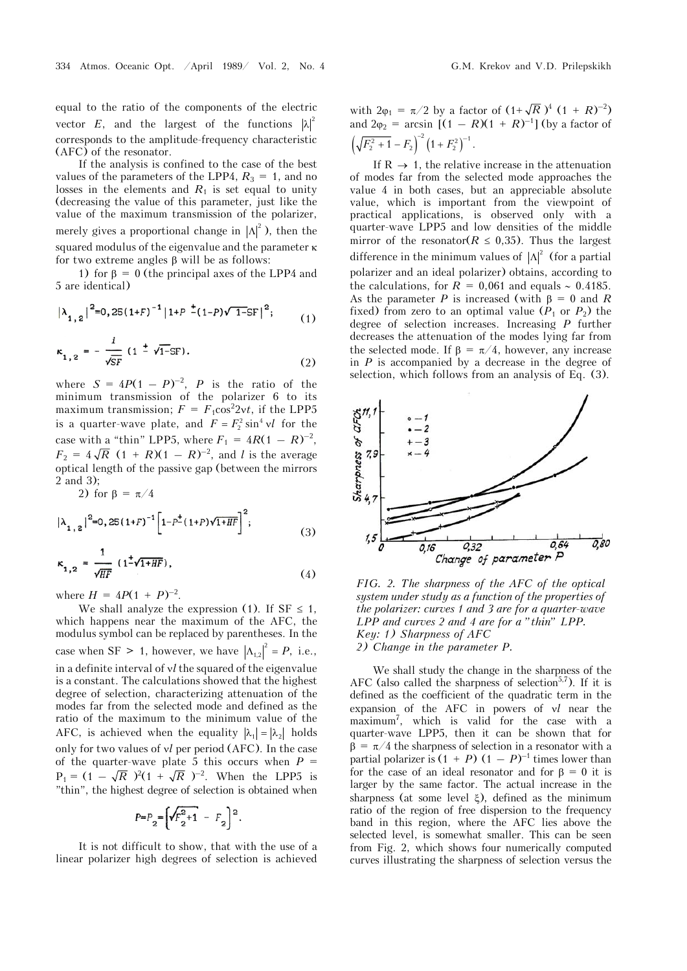equal to the ratio of the components of the electric vector *E*, and the largest of the functions  $|\lambda|^2$ corresponds to the amplitude-frequency characteristic (AFC) of the resonator.

If the analysis is confined to the case of the best values of the parameters of the LPP4,  $R_3 = 1$ , and no losses in the elements and  $R_1$  is set equal to unity (decreasing the value of this parameter, just like the value of the maximum transmission of the polarizer, merely gives a proportional change in  $|\Lambda|^2$ ), then the squared modulus of the eigenvalue and the parameter  $\kappa$ for two extreme angles  $\beta$  will be as follows:

1) for  $\beta = 0$  (the principal axes of the LPP4 and 5 are identical)

$$
\left|\lambda_{1,2}\right|^{2}=0,25\left(1+F\right)^{-1}\left|1+F\right.^{\frac{1}{-}}\left(1-P\right)\sqrt{1-S}F\right|^{2};\qquad \ \ (1)
$$

$$
\kappa_{1,2} = -\frac{i}{\sqrt{SF}} (1 \pm \sqrt{1-SF}).
$$
 (2)

where  $S = 4P(1 - P)^{-2}$ , *P* is the ratio of the minimum transmission of the polarizer 6 to its maximum transmission;  $F = F_1 \cos^2 2vt$ , if the LPP5 is a quarter-wave plate, and  $F = F_2^2 \sin^4 v l$  for the case with a "thin" LPP5, where  $F_1 = 4R(1 - R)^{-2}$ ,  $F_2 = 4\sqrt{R}$   $(1 + R)(1 - R)^{-2}$ , and *l* is the average optical length of the passive gap (between the mirrors 2 and 3);

2) for 
$$
\beta = \pi/4
$$
  
 $|\lambda| = \Big|_{0.25(1+F)}^{-1} \Big|_{1-P^+(1+P)\sqrt{1+HF}} \Big|^2$ .

$$
\kappa_{1,2} = \frac{1}{\sqrt{HF}} (1^{\frac{1}{2}} \sqrt{1 + HF}),
$$
\n(3)

where  $H = 4P(1 + P)^{-2}$ .

We shall analyze the expression (1). If  $SF \leq 1$ , which happens near the maximum of the AFC, the modulus symbol can be replaced by parentheses. In the case when SF > 1, however, we have  $|\Lambda_{1,2}|^2 = P$ , i.e., in a definite interval of *l* the squared of the eigenvalue is a constant. The calculations showed that the highest degree of selection, characterizing attenuation of the modes far from the selected mode and defined as the ratio of the maximum to the minimum value of the AFC, is achieved when the equality  $|\lambda_1| = |\lambda_2|$  holds only for two values of *vl* per period (AFC). In the case of the quarter-wave plate 5 this occurs when  $P =$  $P_1 = (1 - \sqrt{R})^2 (1 + \sqrt{R})^{-2}$ . When the LPP5 is "thin", the highest degree of selection is obtained when

$$
P = P_2 = \left(\sqrt{F_2^2 + 1} - F_2\right)^2.
$$

It is not difficult to show, that with the use of a linear polarizer high degrees of selection is achieved with  $2\varphi_1 = \pi/2$  by a factor of  $(1+\sqrt{R})^4 (1+R)^{-2}$ and  $2\varphi_2 = \arcsin [(1 - R)(1 + R)^{-1}]$  (by a factor of  $\left(\sqrt{F_2^2+1}-F_2\right)^{-2}\left(1+F_2^2\right)^{-1}.$ 

If  $R \rightarrow 1$ , the relative increase in the attenuation of modes far from the selected mode approaches the value 4 in both cases, but an appreciable absolute value, which is important from the viewpoint of practical applications, is observed only with a quarter-wave LPP5 and low densities of the middle mirror of the resonator( $R \leq 0.35$ ). Thus the largest difference in the minimum values of  $|\Lambda|^2$  (for a partial polarizer and an ideal polarizer) obtains, according to the calculations, for  $R = 0.061$  and equals  $\sim 0.4185$ . As the parameter *P* is increased (with  $\beta = 0$  and *R* fixed) from zero to an optimal value  $(P_1 \text{ or } P_2)$  the degree of selection increases. Increasing *P* further decreases the attenuation of the modes lying far from the selected mode. If  $\beta = \pi/4$ , however, any increase in *P* is accompanied by a decrease in the degree of selection, which follows from an analysis of Eq. (3).



*FIG. 2. The sharpness of the AFC of the optical system under study as a function of the properties of the polarizer: curves 1 and 3 are for a quarter-wave LPP and curves 2 and 4 are for a "thin" LPP. Key: 1) Sharpness of AFC 2) Change in the parameter P.*

We shall study the change in the sharpness of the AFC (also called the sharpness of selection<sup>5,7</sup>). If it is defined as the coefficient of the quadratic term in the expansion of the AFC in powers of *l* near the maximum7 , which is valid for the case with a quarter-wave LPP5, then it can be shown that for  $\beta = \pi/4$  the sharpness of selection in a resonator with a partial polarizer is  $(1 + P)(1 - P)^{-1}$  times lower than for the case of an ideal resonator and for  $\beta = 0$  it is larger by the same factor. The actual increase in the sharpness (at some level  $\xi$ ), defined as the minimum ratio of the region of free dispersion to the frequency band in this region, where the AFC lies above the selected level, is somewhat smaller. This can be seen from Fig. 2, which shows four numerically computed curves illustrating the sharpness of selection versus the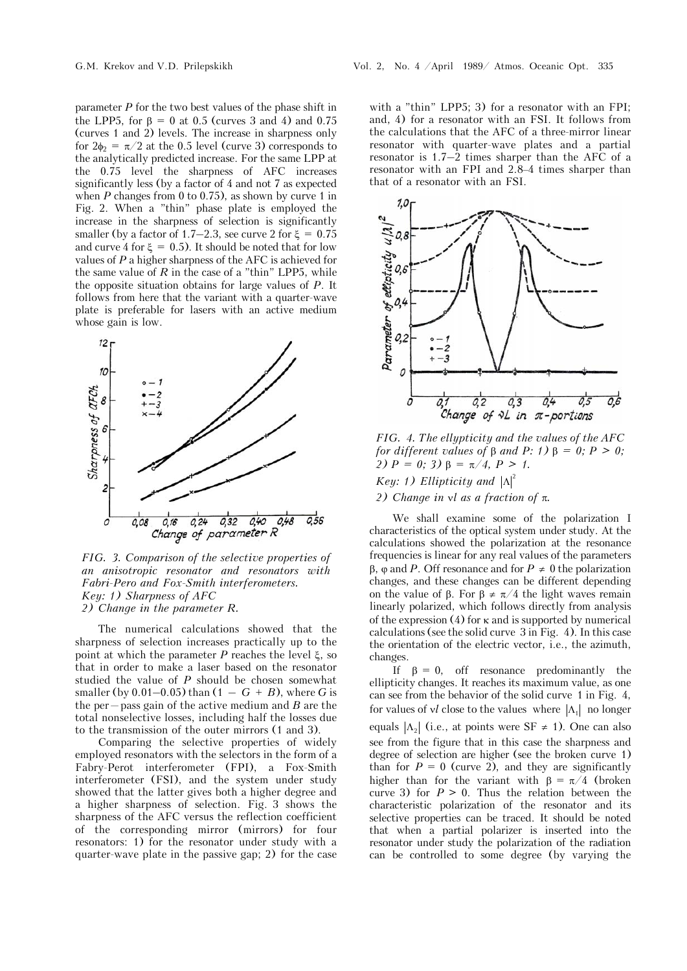parameter *P* for the two best values of the phase shift in the LPP5, for  $\beta = 0$  at 0.5 (curves 3 and 4) and 0.75 (curves 1 and 2) levels. The increase in sharpness only for  $2\phi_2 = \pi/2$  at the 0.5 level (curve 3) corresponds to the analytically predicted increase. For the same LPP at the 0.75 level the sharpness of AFC increases significantly less (by a factor of 4 and not 7 as expected when  $P$  changes from 0 to 0.75), as shown by curve 1 in Fig. 2. When a "thin" phase plate is employed the increase in the sharpness of selection is significantly smaller (by a factor of 1.7–2.3, see curve 2 for  $\xi = 0.75$ and curve 4 for  $\xi = 0.5$ . It should be noted that for low values of *P* a higher sharpness of the AFC is achieved for the same value of  $R$  in the case of a "thin" LPP5, while the opposite situation obtains for large values of *P*. It follows from here that the variant with a quarter-wave plate is preferable for lasers with an active medium whose gain is low.



*FIG. 3. Comparison of the selective properties of an anisotropic resonator and resonators with Fabri-Pero and Fox-Smith interferometers. Key: 1) Sharpness of AFC 2) Change in the parameter R.* 

The numerical calculations showed that the sharpness of selection increases practically up to the point at which the parameter  $P$  reaches the level  $\xi$ , so that in order to make a laser based on the resonator studied the value of *P* should be chosen somewhat smaller (by  $0.01-0.05$ ) than  $(1 - G + B)$ , where *G* is the per—pass gain of the active medium and *Â* are the total nonselective losses, including half the losses due to the transmission of the outer mirrors (1 and 3).

Comparing the selective properties of widely employed resonators with the selectors in the form of a Fabry-Perot interferometer (FPI), a Fox-Smith interferometer (FSI), and the system under study showed that the latter gives both a higher degree and a higher sharpness of selection. Fig. 3 shows the sharpness of the AFC versus the reflection coefficient of the corresponding mirror (mirrors) for four resonators: 1) for the resonator under study with a quarter-wave plate in the passive gap; 2) for the case

with a "thin" LPP5: 3) for a resonator with an FPI: and, 4) for a resonator with an FSI. It follows from the calculations that the AFC of a three-mirror linear resonator with quarter-wave plates and a partial resonator is 1.7–2 times sharper than the AFC of a resonator with an FPI and 2.8–4 times sharper than that of a resonator with an FSI.



*FIG. 4. The ellypticity and the values of the AFC for different values of*  $\beta$  *and P: 1)*  $\beta = 0$ ;  $P > 0$ ; *2)*  $P = 0$ ; *3)*  $\beta = \pi/4$ ,  $P > 1$ . *Key: 1)* Ellipticity and  $|\Lambda|^2$ 

2) Change in  $\vee$ l as a fraction of  $\pi$ .

We shall examine some of the polarization I characteristics of the optical system under study. At the calculations showed the polarization at the resonance frequencies is linear for any real values of the parameters  $\beta$ ,  $\varphi$  and *P*. Off resonance and for  $P \neq 0$  the polarization changes, and these changes can be different depending on the value of  $\beta$ . For  $\beta \neq \pi/4$  the light waves remain linearly polarized, which follows directly from analysis of the expression  $(4)$  for  $\kappa$  and is supported by numerical calculations (see the solid curve 3 in Fig. 4). In this case the orientation of the electric vector, i.e., the azimuth, changes.

If  $\beta = 0$ , off resonance predominantly the ellipticity changes. It reaches its maximum value, as one can see from the behavior of the solid curve 1 in Fig. 4, for values of  $vl$  close to the values where  $|\Lambda_1|$  no longer equals  $|\Lambda_2|$  (i.e., at points were SF  $\neq$  1). One can also see from the figure that in this case the sharpness and degree of selection are higher (see the broken curve 1) than for  $P = 0$  (curve 2), and they are significantly higher than for the variant with  $\beta = \pi/4$  (broken curve 3) for  $P > 0$ . Thus the relation between the characteristic polarization of the resonator and its selective properties can be traced. It should be noted that when a partial polarizer is inserted into the resonator under study the polarization of the radiation can be controlled to some degree (by varying the